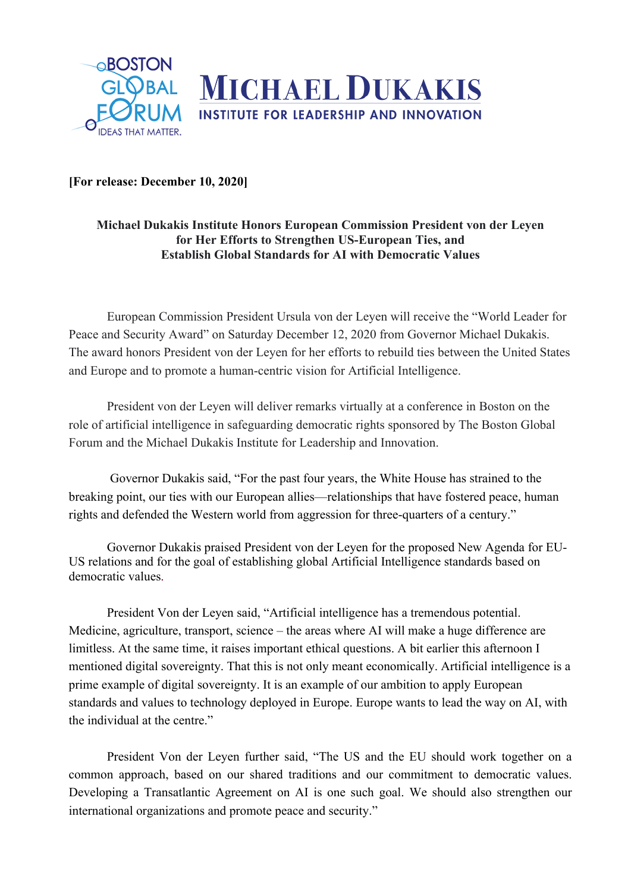

**[For release: December 10, 2020]**

## **Michael Dukakis Institute Honors European Commission President von der Leyen for Her Efforts to Strengthen US-European Ties, and Establish Global Standards for AI with Democratic Values**

European Commission President Ursula von der Leyen will receive the "World Leader for Peace and Security Award" on Saturday December 12, 2020 from Governor Michael Dukakis. The award honors President von der Leyen for her efforts to rebuild ties between the United States and Europe and to promote a human-centric vision for Artificial Intelligence.

President von der Leyen will deliver remarks virtually at a conference in Boston on the role of artificial intelligence in safeguarding democratic rights sponsored by The Boston Global Forum and the Michael Dukakis Institute for Leadership and Innovation.

Governor Dukakis said, "For the past four years, the White House has strained to the breaking point, our ties with our European allies—relationships that have fostered peace, human rights and defended the Western world from aggression for three-quarters of a century."

Governor Dukakis praised President von der Leyen for the proposed New Agenda for EU-US relations and for the goal of establishing global Artificial Intelligence standards based on democratic values.

President Von der Leyen said, "Artificial intelligence has a tremendous potential. Medicine, agriculture, transport, science – the areas where AI will make a huge difference are limitless. At the same time, it raises important ethical questions. A bit earlier this afternoon I mentioned digital sovereignty. That this is not only meant economically. Artificial intelligence is a prime example of digital sovereignty. It is an example of our ambition to apply European standards and values to technology deployed in Europe. Europe wants to lead the way on AI, with the individual at the centre."

President Von der Leyen further said, "The US and the EU should work together on a common approach, based on our shared traditions and our commitment to democratic values. Developing a Transatlantic Agreement on AI is one such goal. We should also strengthen our international organizations and promote peace and security."